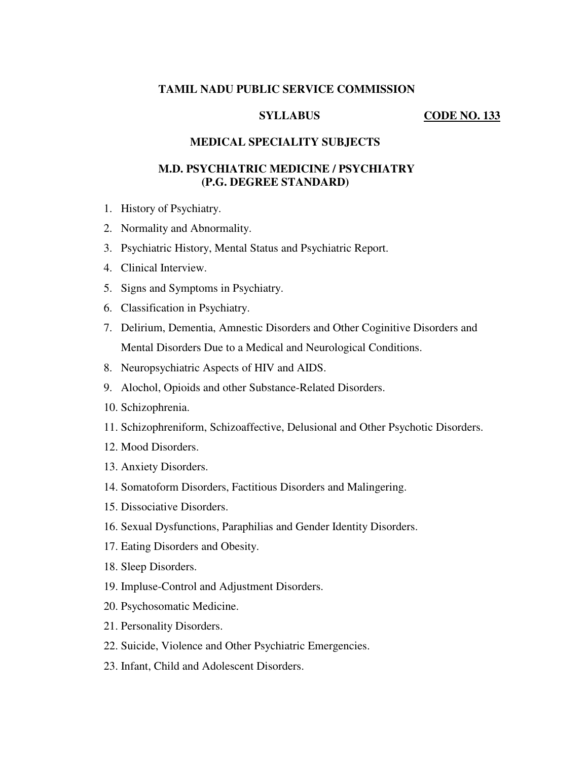## **TAMIL NADU PUBLIC SERVICE COMMISSION**

## SYLLABUS CODE NO. 133

### **MEDICAL SPECIALITY SUBJECTS**

# **M.D. PSYCHIATRIC MEDICINE / PSYCHIATRY (P.G. DEGREE STANDARD)**

- 1. History of Psychiatry.
- 2. Normality and Abnormality.
- 3. Psychiatric History, Mental Status and Psychiatric Report.
- 4. Clinical Interview.
- 5. Signs and Symptoms in Psychiatry.
- 6. Classification in Psychiatry.
- 7. Delirium, Dementia, Amnestic Disorders and Other Coginitive Disorders and Mental Disorders Due to a Medical and Neurological Conditions.
- 8. Neuropsychiatric Aspects of HIV and AIDS.
- 9. Alochol, Opioids and other Substance-Related Disorders.
- 10. Schizophrenia.
- 11. Schizophreniform, Schizoaffective, Delusional and Other Psychotic Disorders.
- 12. Mood Disorders.
- 13. Anxiety Disorders.
- 14. Somatoform Disorders, Factitious Disorders and Malingering.
- 15. Dissociative Disorders.
- 16. Sexual Dysfunctions, Paraphilias and Gender Identity Disorders.
- 17. Eating Disorders and Obesity.
- 18. Sleep Disorders.
- 19. Impluse-Control and Adjustment Disorders.
- 20. Psychosomatic Medicine.
- 21. Personality Disorders.
- 22. Suicide, Violence and Other Psychiatric Emergencies.
- 23. Infant, Child and Adolescent Disorders.